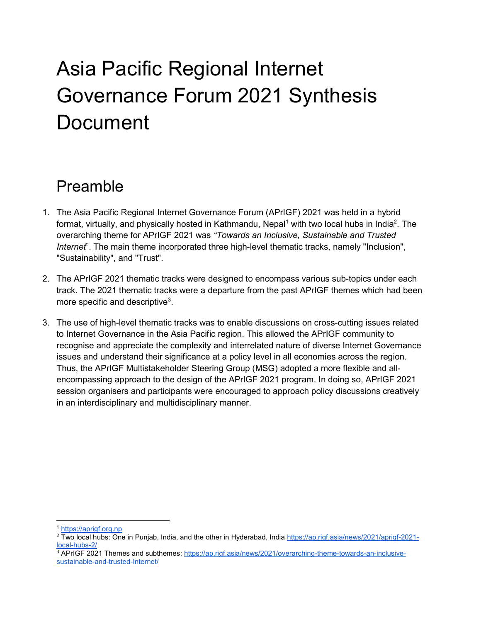# Asia Pacific Regional Internet Governance Forum 2021 Synthesis Document

# Preamble

- 1. The Asia Pacific Regional Internet Governance Forum (APrIGF) 2021 was held in a hybrid format, virtually, and physically hosted in Kathmandu, Nepal<sup>1</sup> with two local hubs in India<sup>2</sup>. The overarching theme for APrIGF 2021 was "Towards an Inclusive, Sustainable and Trusted Internet". The main theme incorporated three high-level thematic tracks, namely "Inclusion", "Sustainability", and "Trust".
- 2. The APrIGF 2021 thematic tracks were designed to encompass various sub-topics under each track. The 2021 thematic tracks were a departure from the past APrIGF themes which had been more specific and descriptive $^3$ .
- 3. The use of high-level thematic tracks was to enable discussions on cross-cutting issues related to Internet Governance in the Asia Pacific region. This allowed the APrIGF community to recognise and appreciate the complexity and interrelated nature of diverse Internet Governance issues and understand their significance at a policy level in all economies across the region. Thus, the APrIGF Multistakeholder Steering Group (MSG) adopted a more flexible and allencompassing approach to the design of the APrIGF 2021 program. In doing so, APrIGF 2021 session organisers and participants were encouraged to approach policy discussions creatively in an interdisciplinary and multidisciplinary manner.

<sup>1</sup> https://aprigf.org.np

<sup>&</sup>lt;sup>2</sup> Two local hubs: One in Punjab, India, and the other in Hyderabad, India <u>https://ap.rigf.asia/news/2021/aprigf-2021-</u> local-hubs-2/

<sup>&</sup>lt;sup>3</sup> APrIGF 2021 Themes and subthemes: https://ap.rigf.asia/news/2021/overarching-theme-towards-an-inclusivesustainable-and-trusted-Internet/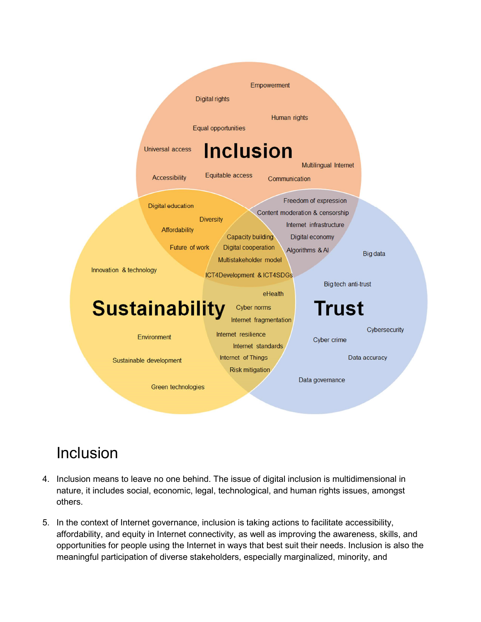

## Inclusion

- 4. Inclusion means to leave no one behind. The issue of digital inclusion is multidimensional in nature, it includes social, economic, legal, technological, and human rights issues, amongst others.
- 5. In the context of Internet governance, inclusion is taking actions to facilitate accessibility, affordability, and equity in Internet connectivity, as well as improving the awareness, skills, and opportunities for people using the Internet in ways that best suit their needs. Inclusion is also the meaningful participation of diverse stakeholders, especially marginalized, minority, and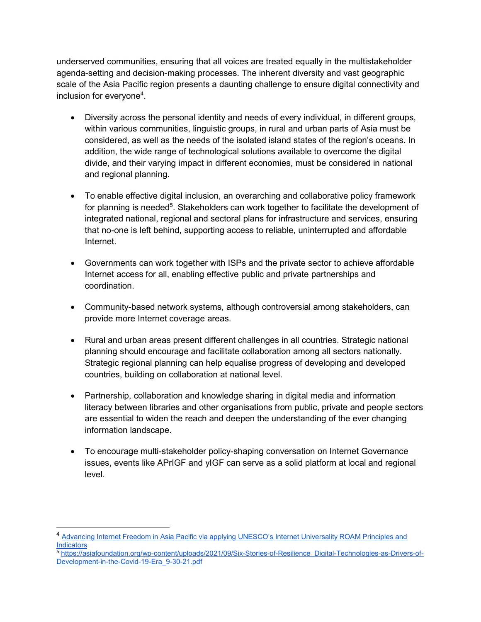underserved communities, ensuring that all voices are treated equally in the multistakeholder agenda-setting and decision-making processes. The inherent diversity and vast geographic scale of the Asia Pacific region presents a daunting challenge to ensure digital connectivity and inclusion for everyone<sup>4</sup>.

- Diversity across the personal identity and needs of every individual, in different groups, within various communities, linguistic groups, in rural and urban parts of Asia must be considered, as well as the needs of the isolated island states of the region's oceans. In addition, the wide range of technological solutions available to overcome the digital divide, and their varying impact in different economies, must be considered in national and regional planning.
- To enable effective digital inclusion, an overarching and collaborative policy framework for planning is needed<sup>5</sup>. Stakeholders can work together to facilitate the development of integrated national, regional and sectoral plans for infrastructure and services, ensuring that no-one is left behind, supporting access to reliable, uninterrupted and affordable Internet.
- Governments can work together with ISPs and the private sector to achieve affordable Internet access for all, enabling effective public and private partnerships and coordination.
- Community-based network systems, although controversial among stakeholders, can provide more Internet coverage areas.
- Rural and urban areas present different challenges in all countries. Strategic national planning should encourage and facilitate collaboration among all sectors nationally. Strategic regional planning can help equalise progress of developing and developed countries, building on collaboration at national level.
- Partnership, collaboration and knowledge sharing in digital media and information literacy between libraries and other organisations from public, private and people sectors are essential to widen the reach and deepen the understanding of the ever changing information landscape.
- To encourage multi-stakeholder policy-shaping conversation on Internet Governance issues, events like APrIGF and yIGF can serve as a solid platform at local and regional level.

 $\overline{a}$ 

<sup>&</sup>lt;sup>4</sup> Advancing Internet Freedom in Asia Pacific via applying UNESCO's Internet Universality ROAM Principles and **Indicators** 

<sup>5</sup> https://asiafoundation.org/wp-content/uploads/2021/09/Six-Stories-of-Resilience\_Digital-Technologies-as-Drivers-of-Development-in-the-Covid-19-Era\_9-30-21.pdf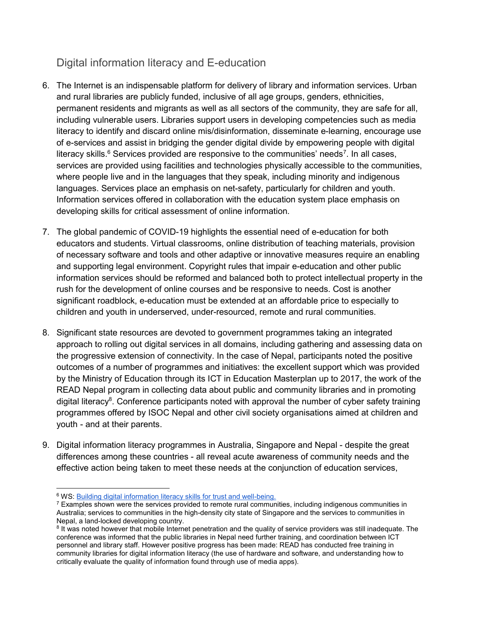### Digital information literacy and E-education

- 6. The Internet is an indispensable platform for delivery of library and information services. Urban and rural libraries are publicly funded, inclusive of all age groups, genders, ethnicities, permanent residents and migrants as well as all sectors of the community, they are safe for all, including vulnerable users. Libraries support users in developing competencies such as media literacy to identify and discard online mis/disinformation, disseminate e-learning, encourage use of e-services and assist in bridging the gender digital divide by empowering people with digital literacy skills.<sup>6</sup> Services provided are responsive to the communities' needs<sup>7</sup>. In all cases, services are provided using facilities and technologies physically accessible to the communities, where people live and in the languages that they speak, including minority and indigenous languages. Services place an emphasis on net-safety, particularly for children and youth. Information services offered in collaboration with the education system place emphasis on developing skills for critical assessment of online information.
- 7. The global pandemic of COVID-19 highlights the essential need of e-education for both educators and students. Virtual classrooms, online distribution of teaching materials, provision of necessary software and tools and other adaptive or innovative measures require an enabling and supporting legal environment. Copyright rules that impair e-education and other public information services should be reformed and balanced both to protect intellectual property in the rush for the development of online courses and be responsive to needs. Cost is another significant roadblock, e-education must be extended at an affordable price to especially to children and youth in underserved, under-resourced, remote and rural communities.
- 8. Significant state resources are devoted to government programmes taking an integrated approach to rolling out digital services in all domains, including gathering and assessing data on the progressive extension of connectivity. In the case of Nepal, participants noted the positive outcomes of a number of programmes and initiatives: the excellent support which was provided by the Ministry of Education through its ICT in Education Masterplan up to 2017, the work of the READ Nepal program in collecting data about public and community libraries and in promoting digital literacy<sup>8</sup>. Conference participants noted with approval the number of cyber safety training programmes offered by ISOC Nepal and other civil society organisations aimed at children and youth - and at their parents.
- 9. Digital information literacy programmes in Australia, Singapore and Nepal despite the great differences among these countries - all reveal acute awareness of community needs and the effective action being taken to meet these needs at the conjunction of education services,

 <sup>6</sup> WS: **Building digital information literacy skills for trust and well-being.** 

<sup>&</sup>lt;sup>7</sup> Examples shown were the services provided to remote rural communities, including indigenous communities in Australia; services to communities in the high-density city state of Singapore and the services to communities in Nepal, a land-locked developing country.

<sup>&</sup>lt;sup>8</sup> It was noted however that mobile Internet penetration and the quality of service providers was still inadequate. The conference was informed that the public libraries in Nepal need further training, and coordination between ICT personnel and library staff. However positive progress has been made: READ has conducted free training in community libraries for digital information literacy (the use of hardware and software, and understanding how to critically evaluate the quality of information found through use of media apps).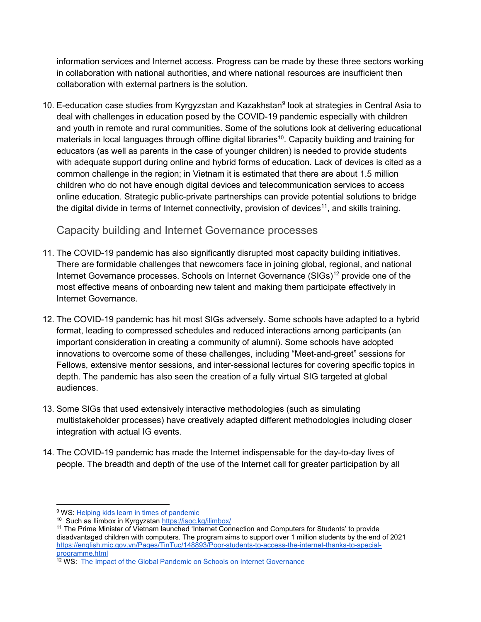information services and Internet access. Progress can be made by these three sectors working in collaboration with national authorities, and where national resources are insufficient then collaboration with external partners is the solution.

10. E-education case studies from Kyrgyzstan and Kazakhstan<sup>9</sup> look at strategies in Central Asia to deal with challenges in education posed by the COVID-19 pandemic especially with children and youth in remote and rural communities. Some of the solutions look at delivering educational materials in local languages through offline digital libraries<sup>10</sup>. Capacity building and training for educators (as well as parents in the case of younger children) is needed to provide students with adequate support during online and hybrid forms of education. Lack of devices is cited as a common challenge in the region; in Vietnam it is estimated that there are about 1.5 million children who do not have enough digital devices and telecommunication services to access online education. Strategic public-private partnerships can provide potential solutions to bridge the digital divide in terms of Internet connectivity, provision of devices<sup>11</sup>, and skills training.

#### Capacity building and Internet Governance processes

- 11. The COVID-19 pandemic has also significantly disrupted most capacity building initiatives. There are formidable challenges that newcomers face in joining global, regional, and national Internet Governance processes. Schools on Internet Governance (SIGs)<sup>12</sup> provide one of the most effective means of onboarding new talent and making them participate effectively in Internet Governance.
- 12. The COVID-19 pandemic has hit most SIGs adversely. Some schools have adapted to a hybrid format, leading to compressed schedules and reduced interactions among participants (an important consideration in creating a community of alumni). Some schools have adopted innovations to overcome some of these challenges, including "Meet-and-greet" sessions for Fellows, extensive mentor sessions, and inter-sessional lectures for covering specific topics in depth. The pandemic has also seen the creation of a fully virtual SIG targeted at global audiences.
- 13. Some SIGs that used extensively interactive methodologies (such as simulating multistakeholder processes) have creatively adapted different methodologies including closer integration with actual IG events.
- 14. The COVID-19 pandemic has made the Internet indispensable for the day-to-day lives of people. The breadth and depth of the use of the Internet call for greater participation by all

<sup>&</sup>lt;sup>9</sup> WS: **Helping kids learn in times of pandemic** 

<sup>10</sup> Such as Ilimbox in Kyrgyzstan https://isoc.kg/ilimbox/

<sup>11</sup> The Prime Minister of Vietnam launched 'Internet Connection and Computers for Students' to provide disadvantaged children with computers. The program aims to support over 1 million students by the end of 2021 https://english.mic.gov.vn/Pages/TinTuc/148893/Poor-students-to-access-the-internet-thanks-to-specialprogramme.html

<sup>&</sup>lt;sup>12</sup> WS: The Impact of the Global Pandemic on Schools on Internet Governance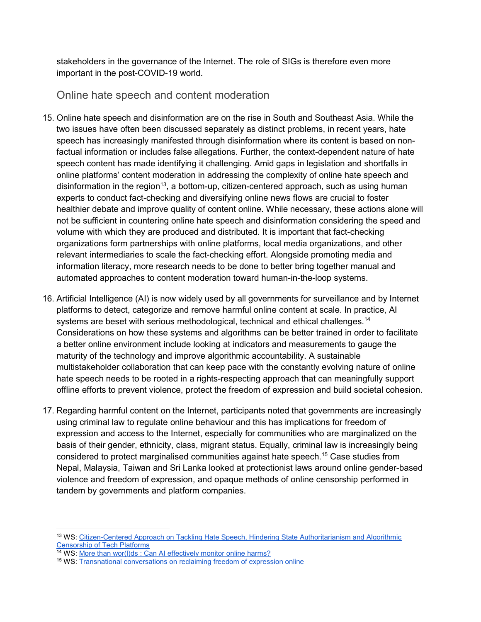stakeholders in the governance of the Internet. The role of SIGs is therefore even more important in the post-COVID-19 world.

Online hate speech and content moderation

- 15. Online hate speech and disinformation are on the rise in South and Southeast Asia. While the two issues have often been discussed separately as distinct problems, in recent years, hate speech has increasingly manifested through disinformation where its content is based on nonfactual information or includes false allegations. Further, the context-dependent nature of hate speech content has made identifying it challenging. Amid gaps in legislation and shortfalls in online platforms' content moderation in addressing the complexity of online hate speech and disinformation in the region<sup>13</sup>, a bottom-up, citizen-centered approach, such as using human experts to conduct fact-checking and diversifying online news flows are crucial to foster healthier debate and improve quality of content online. While necessary, these actions alone will not be sufficient in countering online hate speech and disinformation considering the speed and volume with which they are produced and distributed. It is important that fact-checking organizations form partnerships with online platforms, local media organizations, and other relevant intermediaries to scale the fact-checking effort. Alongside promoting media and information literacy, more research needs to be done to better bring together manual and automated approaches to content moderation toward human-in-the-loop systems.
- 16. Artificial Intelligence (AI) is now widely used by all governments for surveillance and by Internet platforms to detect, categorize and remove harmful online content at scale. In practice, AI systems are beset with serious methodological, technical and ethical challenges.<sup>14</sup> Considerations on how these systems and algorithms can be better trained in order to facilitate a better online environment include looking at indicators and measurements to gauge the maturity of the technology and improve algorithmic accountability. A sustainable multistakeholder collaboration that can keep pace with the constantly evolving nature of online hate speech needs to be rooted in a rights-respecting approach that can meaningfully support offline efforts to prevent violence, protect the freedom of expression and build societal cohesion.
- 17. Regarding harmful content on the Internet, participants noted that governments are increasingly using criminal law to regulate online behaviour and this has implications for freedom of expression and access to the Internet, especially for communities who are marginalized on the basis of their gender, ethnicity, class, migrant status. Equally, criminal law is increasingly being considered to protect marginalised communities against hate speech.<sup>15</sup> Case studies from Nepal, Malaysia, Taiwan and Sri Lanka looked at protectionist laws around online gender-based violence and freedom of expression, and opaque methods of online censorship performed in tandem by governments and platform companies.

<sup>&</sup>lt;sup>13</sup> WS: Citizen-Centered Approach on Tackling Hate Speech, Hindering State Authoritarianism and Algorithmic Censorship of Tech Platforms

<sup>&</sup>lt;sup>14</sup> WS: More than wor(I)ds : Can AI effectively monitor online harms?

<sup>15</sup> WS: Transnational conversations on reclaiming freedom of expression online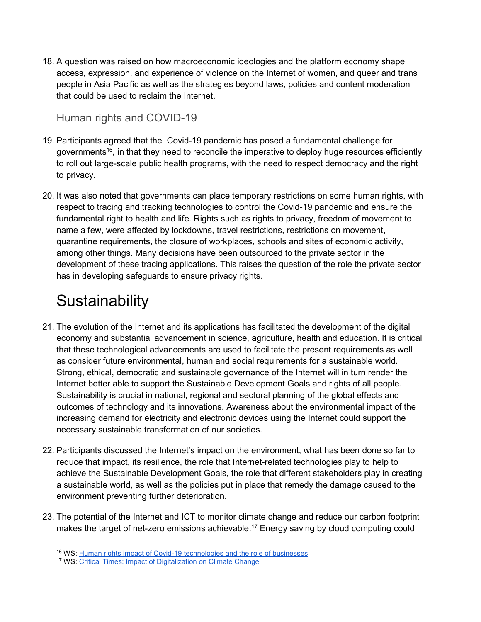18. A question was raised on how macroeconomic ideologies and the platform economy shape access, expression, and experience of violence on the Internet of women, and queer and trans people in Asia Pacific as well as the strategies beyond laws, policies and content moderation that could be used to reclaim the Internet.

#### Human rights and COVID-19

- 19. Participants agreed that the Covid-19 pandemic has posed a fundamental challenge for governments<sup>16</sup>, in that they need to reconcile the imperative to deploy huge resources efficiently to roll out large-scale public health programs, with the need to respect democracy and the right to privacy.
- 20. It was also noted that governments can place temporary restrictions on some human rights, with respect to tracing and tracking technologies to control the Covid-19 pandemic and ensure the fundamental right to health and life. Rights such as rights to privacy, freedom of movement to name a few, were affected by lockdowns, travel restrictions, restrictions on movement, quarantine requirements, the closure of workplaces, schools and sites of economic activity, among other things. Many decisions have been outsourced to the private sector in the development of these tracing applications. This raises the question of the role the private sector has in developing safeguards to ensure privacy rights.

# **Sustainability**

- 21. The evolution of the Internet and its applications has facilitated the development of the digital economy and substantial advancement in science, agriculture, health and education. It is critical that these technological advancements are used to facilitate the present requirements as well as consider future environmental, human and social requirements for a sustainable world. Strong, ethical, democratic and sustainable governance of the Internet will in turn render the Internet better able to support the Sustainable Development Goals and rights of all people. Sustainability is crucial in national, regional and sectoral planning of the global effects and outcomes of technology and its innovations. Awareness about the environmental impact of the increasing demand for electricity and electronic devices using the Internet could support the necessary sustainable transformation of our societies.
- 22. Participants discussed the Internet's impact on the environment, what has been done so far to reduce that impact, its resilience, the role that Internet-related technologies play to help to achieve the Sustainable Development Goals, the role that different stakeholders play in creating a sustainable world, as well as the policies put in place that remedy the damage caused to the environment preventing further deterioration.
- 23. The potential of the Internet and ICT to monitor climate change and reduce our carbon footprint makes the target of net-zero emissions achievable.<sup>17</sup> Energy saving by cloud computing could

<sup>16</sup> WS: Human rights impact of Covid-19 technologies and the role of businesses

<sup>17</sup> WS: Critical Times: Impact of Digitalization on Climate Change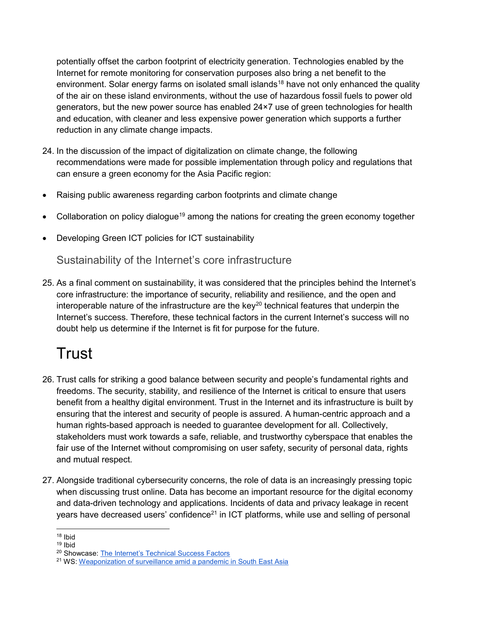potentially offset the carbon footprint of electricity generation. Technologies enabled by the Internet for remote monitoring for conservation purposes also bring a net benefit to the environment. Solar energy farms on isolated small islands<sup>18</sup> have not only enhanced the quality of the air on these island environments, without the use of hazardous fossil fuels to power old generators, but the new power source has enabled 24×7 use of green technologies for health and education, with cleaner and less expensive power generation which supports a further reduction in any climate change impacts.

- 24. In the discussion of the impact of digitalization on climate change, the following recommendations were made for possible implementation through policy and regulations that can ensure a green economy for the Asia Pacific region:
- Raising public awareness regarding carbon footprints and climate change
- Collaboration on policy dialogue<sup>19</sup> among the nations for creating the green economy together
- Developing Green ICT policies for ICT sustainability

Sustainability of the Internet's core infrastructure

25. As a final comment on sustainability, it was considered that the principles behind the Internet's core infrastructure: the importance of security, reliability and resilience, and the open and interoperable nature of the infrastructure are the key<sup>20</sup> technical features that underpin the Internet's success. Therefore, these technical factors in the current Internet's success will no doubt help us determine if the Internet is fit for purpose for the future.

# **Trust**

- 26. Trust calls for striking a good balance between security and people's fundamental rights and freedoms. The security, stability, and resilience of the Internet is critical to ensure that users benefit from a healthy digital environment. Trust in the Internet and its infrastructure is built by ensuring that the interest and security of people is assured. A human-centric approach and a human rights-based approach is needed to guarantee development for all. Collectively, stakeholders must work towards a safe, reliable, and trustworthy cyberspace that enables the fair use of the Internet without compromising on user safety, security of personal data, rights and mutual respect.
- 27. Alongside traditional cybersecurity concerns, the role of data is an increasingly pressing topic when discussing trust online. Data has become an important resource for the digital economy and data-driven technology and applications. Incidents of data and privacy leakage in recent years have decreased users' confidence<sup>21</sup> in ICT platforms, while use and selling of personal

 <sup>18</sup> Ibid

<sup>19</sup> Ibid

<sup>20</sup> Showcase: The Internet's Technical Success Factors

<sup>21</sup> WS: Weaponization of surveillance amid a pandemic in South East Asia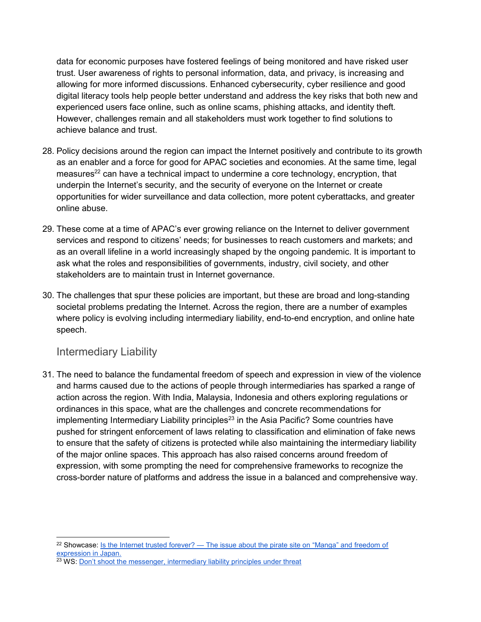data for economic purposes have fostered feelings of being monitored and have risked user trust. User awareness of rights to personal information, data, and privacy, is increasing and allowing for more informed discussions. Enhanced cybersecurity, cyber resilience and good digital literacy tools help people better understand and address the key risks that both new and experienced users face online, such as online scams, phishing attacks, and identity theft. However, challenges remain and all stakeholders must work together to find solutions to achieve balance and trust.

- 28. Policy decisions around the region can impact the Internet positively and contribute to its growth as an enabler and a force for good for APAC societies and economies. At the same time, legal measures<sup>22</sup> can have a technical impact to undermine a core technology, encryption, that underpin the Internet's security, and the security of everyone on the Internet or create opportunities for wider surveillance and data collection, more potent cyberattacks, and greater online abuse.
- 29. These come at a time of APAC's ever growing reliance on the Internet to deliver government services and respond to citizens' needs; for businesses to reach customers and markets; and as an overall lifeline in a world increasingly shaped by the ongoing pandemic. It is important to ask what the roles and responsibilities of governments, industry, civil society, and other stakeholders are to maintain trust in Internet governance.
- 30. The challenges that spur these policies are important, but these are broad and long-standing societal problems predating the Internet. Across the region, there are a number of examples where policy is evolving including intermediary liability, end-to-end encryption, and online hate speech.

#### Intermediary Liability

 $\overline{a}$ 

31. The need to balance the fundamental freedom of speech and expression in view of the violence and harms caused due to the actions of people through intermediaries has sparked a range of action across the region. With India, Malaysia, Indonesia and others exploring regulations or ordinances in this space, what are the challenges and concrete recommendations for implementing Intermediary Liability principles<sup>23</sup> in the Asia Pacific? Some countries have pushed for stringent enforcement of laws relating to classification and elimination of fake news to ensure that the safety of citizens is protected while also maintaining the intermediary liability of the major online spaces. This approach has also raised concerns around freedom of expression, with some prompting the need for comprehensive frameworks to recognize the cross-border nature of platforms and address the issue in a balanced and comprehensive way.

<sup>&</sup>lt;sup>22</sup> Showcase: Is the Internet trusted forever? — The issue about the pirate site on "Manga" and freedom of expression in Japan.

<sup>&</sup>lt;sup>23</sup> WS: **Don't shoot the messenger, intermediary liability principles under threat**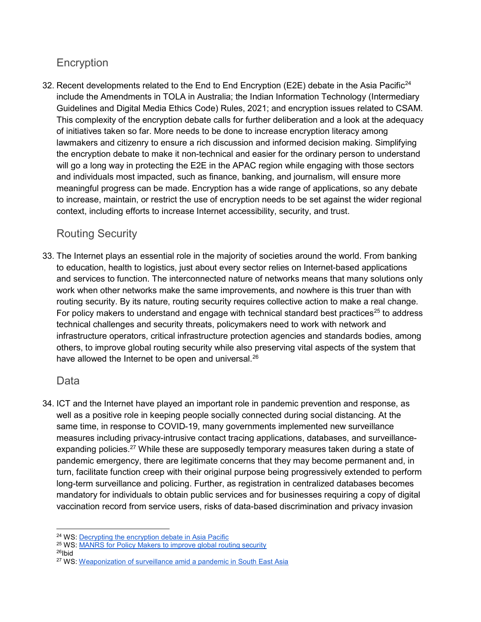### Encryption

32. Recent developments related to the End to End Encryption (E2E) debate in the Asia Pacific<sup>24</sup> include the Amendments in TOLA in Australia; the Indian Information Technology (Intermediary Guidelines and Digital Media Ethics Code) Rules, 2021; and encryption issues related to CSAM. This complexity of the encryption debate calls for further deliberation and a look at the adequacy of initiatives taken so far. More needs to be done to increase encryption literacy among lawmakers and citizenry to ensure a rich discussion and informed decision making. Simplifying the encryption debate to make it non-technical and easier for the ordinary person to understand will go a long way in protecting the E2E in the APAC region while engaging with those sectors and individuals most impacted, such as finance, banking, and journalism, will ensure more meaningful progress can be made. Encryption has a wide range of applications, so any debate to increase, maintain, or restrict the use of encryption needs to be set against the wider regional context, including efforts to increase Internet accessibility, security, and trust.

### Routing Security

33. The Internet plays an essential role in the majority of societies around the world. From banking to education, health to logistics, just about every sector relies on Internet-based applications and services to function. The interconnected nature of networks means that many solutions only work when other networks make the same improvements, and nowhere is this truer than with routing security. By its nature, routing security requires collective action to make a real change. For policy makers to understand and engage with technical standard best practices<sup>25</sup> to address technical challenges and security threats, policymakers need to work with network and infrastructure operators, critical infrastructure protection agencies and standards bodies, among others, to improve global routing security while also preserving vital aspects of the system that have allowed the Internet to be open and universal.<sup>26</sup>

### **Data**

34. ICT and the Internet have played an important role in pandemic prevention and response, as well as a positive role in keeping people socially connected during social distancing. At the same time, in response to COVID-19, many governments implemented new surveillance measures including privacy-intrusive contact tracing applications, databases, and surveillanceexpanding policies.<sup>27</sup> While these are supposedly temporary measures taken during a state of pandemic emergency, there are legitimate concerns that they may become permanent and, in turn, facilitate function creep with their original purpose being progressively extended to perform long-term surveillance and policing. Further, as registration in centralized databases becomes mandatory for individuals to obtain public services and for businesses requiring a copy of digital vaccination record from service users, risks of data-based discrimination and privacy invasion

 <sup>24</sup> WS: Decrypting the encryption debate in Asia Pacific

<sup>25</sup> WS: MANRS for Policy Makers to improve global routing security

<sup>26</sup>Ibid

<sup>27</sup> WS: Weaponization of surveillance amid a pandemic in South East Asia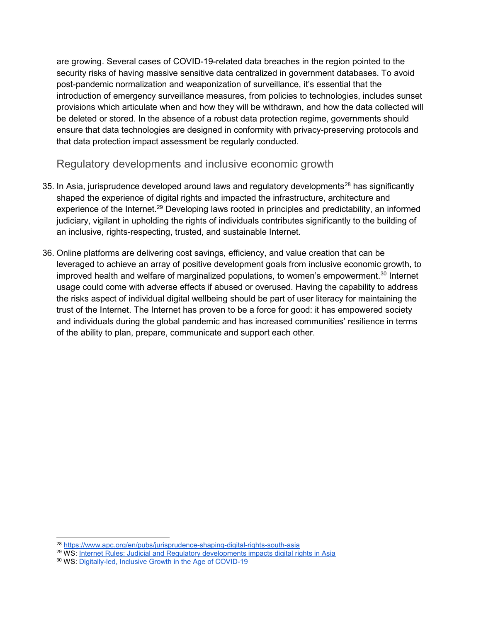are growing. Several cases of COVID-19-related data breaches in the region pointed to the security risks of having massive sensitive data centralized in government databases. To avoid post-pandemic normalization and weaponization of surveillance, it's essential that the introduction of emergency surveillance measures, from policies to technologies, includes sunset provisions which articulate when and how they will be withdrawn, and how the data collected will be deleted or stored. In the absence of a robust data protection regime, governments should ensure that data technologies are designed in conformity with privacy-preserving protocols and that data protection impact assessment be regularly conducted.

Regulatory developments and inclusive economic growth

- 35. In Asia, jurisprudence developed around laws and regulatory developments<sup>28</sup> has significantly shaped the experience of digital rights and impacted the infrastructure, architecture and experience of the Internet.<sup>29</sup> Developing laws rooted in principles and predictability, an informed judiciary, vigilant in upholding the rights of individuals contributes significantly to the building of an inclusive, rights-respecting, trusted, and sustainable Internet.
- 36. Online platforms are delivering cost savings, efficiency, and value creation that can be leveraged to achieve an array of positive development goals from inclusive economic growth, to improved health and welfare of marginalized populations, to women's empowerment.<sup>30</sup> Internet usage could come with adverse effects if abused or overused. Having the capability to address the risks aspect of individual digital wellbeing should be part of user literacy for maintaining the trust of the Internet. The Internet has proven to be a force for good: it has empowered society and individuals during the global pandemic and has increased communities' resilience in terms of the ability to plan, prepare, communicate and support each other.

 $\overline{a}$ <sup>28</sup> https://www.apc.org/en/pubs/jurisprudence-shaping-digital-rights-south-asia

<sup>29</sup> WS: Internet Rules: Judicial and Regulatory developments impacts digital rights in Asia

<sup>30</sup> WS: Digitally-led, Inclusive Growth in the Age of COVID-19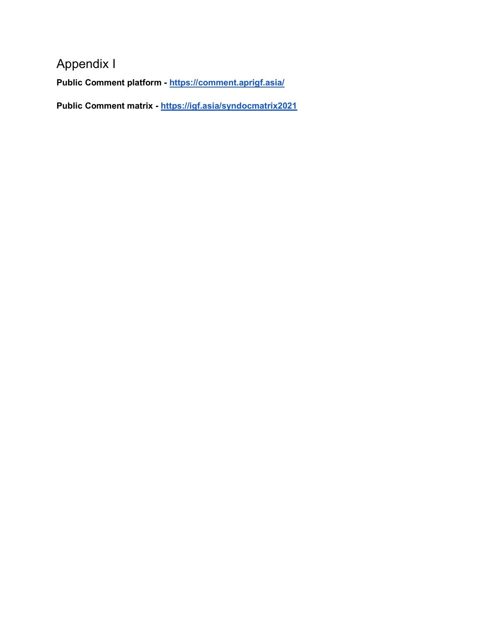### Appendix I

Public Comment platform - https://comment.aprigf.asia/

Public Comment matrix - https://igf.asia/syndocmatrix2021